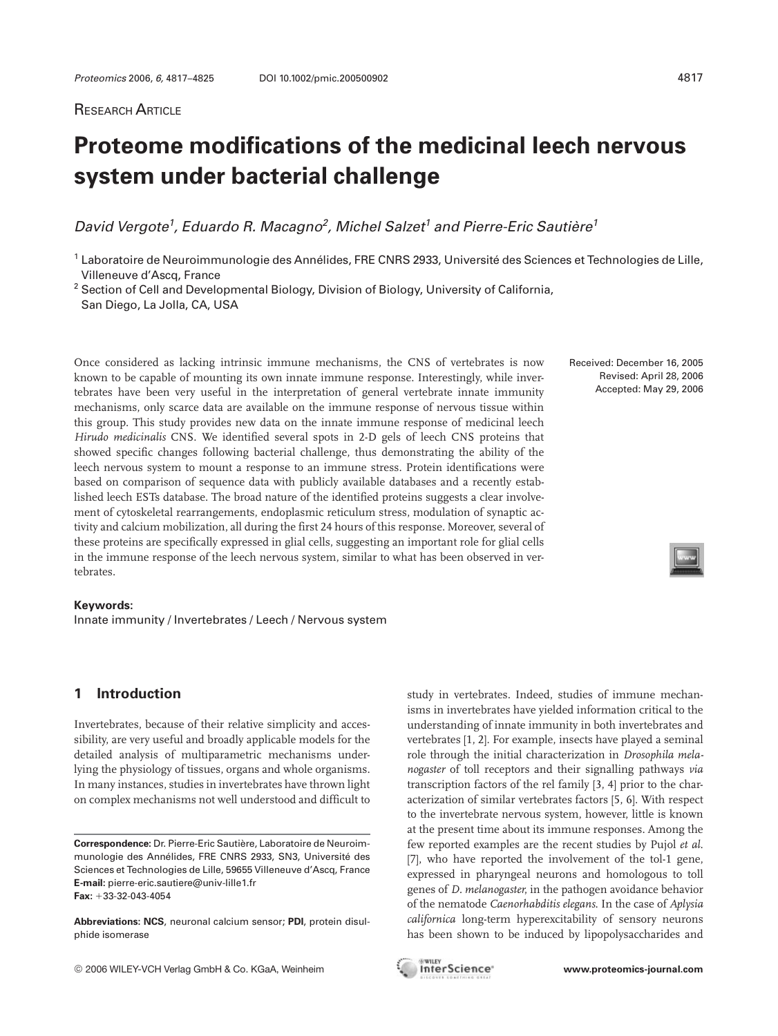# **Proteome modifications of the medicinal leech nervous system under bacterial challenge**

David Vergote<sup>1</sup>, Eduardo R. Macagno<sup>2</sup>, Michel Salzet<sup>1</sup> and Pierre-Eric Sautière<sup>1</sup>

<sup>1</sup> Laboratoire de Neuroimmunologie des Annélides, FRE CNRS 2933, Université des Sciences et Technologies de Lille, Villeneuve d'Ascq, France

<sup>2</sup> Section of Cell and Developmental Biology, Division of Biology, University of California, San Diego, La Jolla, CA, USA

Once considered as lacking intrinsic immune mechanisms, the CNS of vertebrates is now known to be capable of mounting its own innate immune response. Interestingly, while invertebrates have been very useful in the interpretation of general vertebrate innate immunity mechanisms, only scarce data are available on the immune response of nervous tissue within this group. This study provides new data on the innate immune response of medicinal leech *Hirudo medicinalis* CNS. We identified several spots in 2-D gels of leech CNS proteins that showed specific changes following bacterial challenge, thus demonstrating the ability of the leech nervous system to mount a response to an immune stress. Protein identifications were based on comparison of sequence data with publicly available databases and a recently established leech ESTs database. The broad nature of the identified proteins suggests a clear involvement of cytoskeletal rearrangements, endoplasmic reticulum stress, modulation of synaptic activity and calcium mobilization, all during the first 24 hours of this response. Moreover, several of these proteins are specifically expressed in glial cells, suggesting an important role for glial cells in the immune response of the leech nervous system, similar to what has been observed in vertebrates.

#### **Keywords:**

Innate immunity / Invertebrates / Leech / Nervous system

**1 Introduction**

Invertebrates, because of their relative simplicity and accessibility, are very useful and broadly applicable models for the detailed analysis of multiparametric mechanisms underlying the physiology of tissues, organs and whole organisms. In many instances, studies in invertebrates have thrown light on complex mechanisms not well understood and difficult to

**Abbreviations: NCS**, neuronal calcium sensor; **PDI**, protein disulphide isomerase

© 2006 WILEY-VCH Verlag GmbH & Co. KGaA, Weinheim **www.proteomics-journal.com**

study in vertebrates. Indeed, studies of immune mechanisms in invertebrates have yielded information critical to the understanding of innate immunity in both invertebrates and vertebrates [1, 2]. For example, insects have played a seminal role through the initial characterization in *Drosophila melanogaster* of toll receptors and their signalling pathways *via* transcription factors of the rel family [3, 4] prior to the characterization of similar vertebrates factors [5, 6]. With respect to the invertebrate nervous system, however, little is known at the present time about its immune responses. Among the few reported examples are the recent studies by Pujol *et al*. [7], who have reported the involvement of the tol-1 gene, expressed in pharyngeal neurons and homologous to toll genes of *D. melanogaster*, in the pathogen avoidance behavior of the nematode *Caenorhabditis elegans*. In the case of *Aplysia californica* long-term hyperexcitability of sensory neurons has been shown to be induced by lipopolysaccharides and

**GAVILEY** 

Received: December 16, 2005 Revised: April 28, 2006 Accepted: May 29, 2006



**Correspondence:** Dr. Pierre-Eric Sautière, Laboratoire de Neuroimmunologie des Annélides, FRE CNRS 2933, SN3, Université des Sciences et Technologies de Lille, 59655 Villeneuve d'Ascq, France **E-mail:** pierre-eric.sautiere@univ-lille1.fr **Fax:** +33-32-043-4054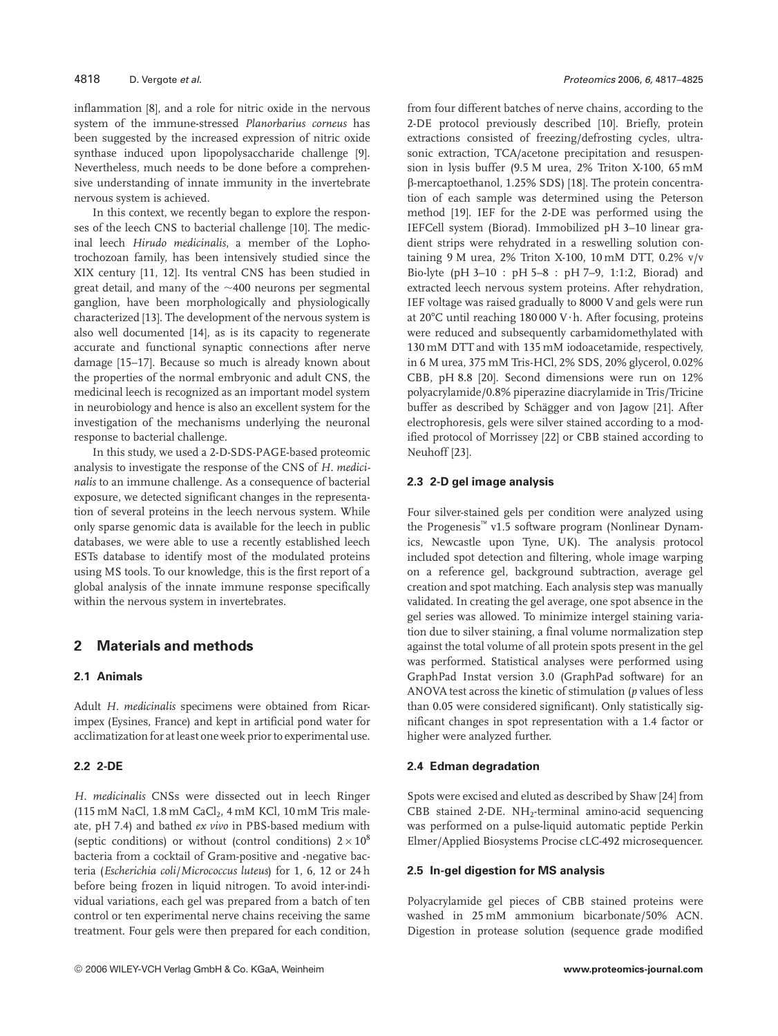inflammation [8], and a role for nitric oxide in the nervous system of the immune-stressed *Planorbarius corneus* has been suggested by the increased expression of nitric oxide synthase induced upon lipopolysaccharide challenge [9]. Nevertheless, much needs to be done before a comprehensive understanding of innate immunity in the invertebrate nervous system is achieved.

In this context, we recently began to explore the responses of the leech CNS to bacterial challenge [10]. The medicinal leech *Hirudo medicinalis*, a member of the Lophotrochozoan family, has been intensively studied since the XIX century [11, 12]. Its ventral CNS has been studied in great detail, and many of the ~400 neurons per segmental ganglion, have been morphologically and physiologically characterized [13]. The development of the nervous system is also well documented [14], as is its capacity to regenerate accurate and functional synaptic connections after nerve damage [15–17]. Because so much is already known about the properties of the normal embryonic and adult CNS, the medicinal leech is recognized as an important model system in neurobiology and hence is also an excellent system for the investigation of the mechanisms underlying the neuronal response to bacterial challenge.

In this study, we used a 2-D-SDS-PAGE-based proteomic analysis to investigate the response of the CNS of *H. medicinalis* to an immune challenge. As a consequence of bacterial exposure, we detected significant changes in the representation of several proteins in the leech nervous system. While only sparse genomic data is available for the leech in public databases, we were able to use a recently established leech ESTs database to identify most of the modulated proteins using MS tools. To our knowledge, this is the first report of a global analysis of the innate immune response specifically within the nervous system in invertebrates.

# **2 Materials and methods**

#### **2.1 Animals**

Adult *H. medicinalis* specimens were obtained from Ricarimpex (Eysines, France) and kept in artificial pond water for acclimatization for at least one week prior to experimental use.

## **2.2 2-DE**

*H. medicinalis* CNSs were dissected out in leech Ringer (115 mM NaCl,  $1.8$  mM CaCl<sub>2</sub>,  $4$  mM KCl,  $10$  mM Tris maleate, pH 7.4) and bathed *ex vivo* in PBS-based medium with (septic conditions) or without (control conditions)  $2 \times 10^8$ bacteria from a cocktail of Gram-positive and -negative bacteria (*Escherichia coli*/*Micrococcus luteus*) for 1, 6, 12 or 24 h before being frozen in liquid nitrogen. To avoid inter-individual variations, each gel was prepared from a batch of ten control or ten experimental nerve chains receiving the same treatment. Four gels were then prepared for each condition, from four different batches of nerve chains, according to the 2-DE protocol previously described [10]. Briefly, protein extractions consisted of freezing/defrosting cycles, ultrasonic extraction, TCA/acetone precipitation and resuspension in lysis buffer (9.5 M urea, 2% Triton X-100, 65 mM b-mercaptoethanol, 1.25% SDS) [18]. The protein concentration of each sample was determined using the Peterson method [19]. IEF for the 2-DE was performed using the IEFCell system (Biorad). Immobilized pH 3–10 linear gradient strips were rehydrated in a reswelling solution containing 9 M urea, 2% Triton X-100, 10 mM DTT, 0.2% v/v Bio-lyte (pH 3–10 : pH 5–8 : pH 7–9, 1:1:2, Biorad) and extracted leech nervous system proteins. After rehydration, IEF voltage was raised gradually to 8000 V and gels were run at  $20^{\circ}$ C until reaching 180 000 V $\cdot$ h. After focusing, proteins were reduced and subsequently carbamidomethylated with 130 mM DTT and with 135 mM iodoacetamide, respectively, in 6 M urea, 375 mM Tris-HCl, 2% SDS, 20% glycerol, 0.02% CBB, pH 8.8 [20]. Second dimensions were run on 12% polyacrylamide/0.8% piperazine diacrylamide in Tris/Tricine buffer as described by Schägger and von Jagow [21]. After electrophoresis, gels were silver stained according to a modified protocol of Morrissey [22] or CBB stained according to Neuhoff [23].

#### **2.3 2-D gel image analysis**

Four silver-stained gels per condition were analyzed using the Progenesis™ v1.5 software program (Nonlinear Dynamics, Newcastle upon Tyne, UK). The analysis protocol included spot detection and filtering, whole image warping on a reference gel, background subtraction, average gel creation and spot matching. Each analysis step was manually validated. In creating the gel average, one spot absence in the gel series was allowed. To minimize intergel staining variation due to silver staining, a final volume normalization step against the total volume of all protein spots present in the gel was performed. Statistical analyses were performed using GraphPad Instat version 3.0 (GraphPad software) for an ANOVA test across the kinetic of stimulation (*p* values of less than 0.05 were considered significant). Only statistically significant changes in spot representation with a 1.4 factor or higher were analyzed further.

#### **2.4 Edman degradation**

Spots were excised and eluted as described by Shaw [24] from CBB stained 2-DE. NH<sub>2</sub>-terminal amino-acid sequencing was performed on a pulse-liquid automatic peptide Perkin Elmer/Applied Biosystems Procise cLC-492 microsequencer.

#### **2.5 In-gel digestion for MS analysis**

Polyacrylamide gel pieces of CBB stained proteins were washed in 25 mM ammonium bicarbonate/50% ACN. Digestion in protease solution (sequence grade modified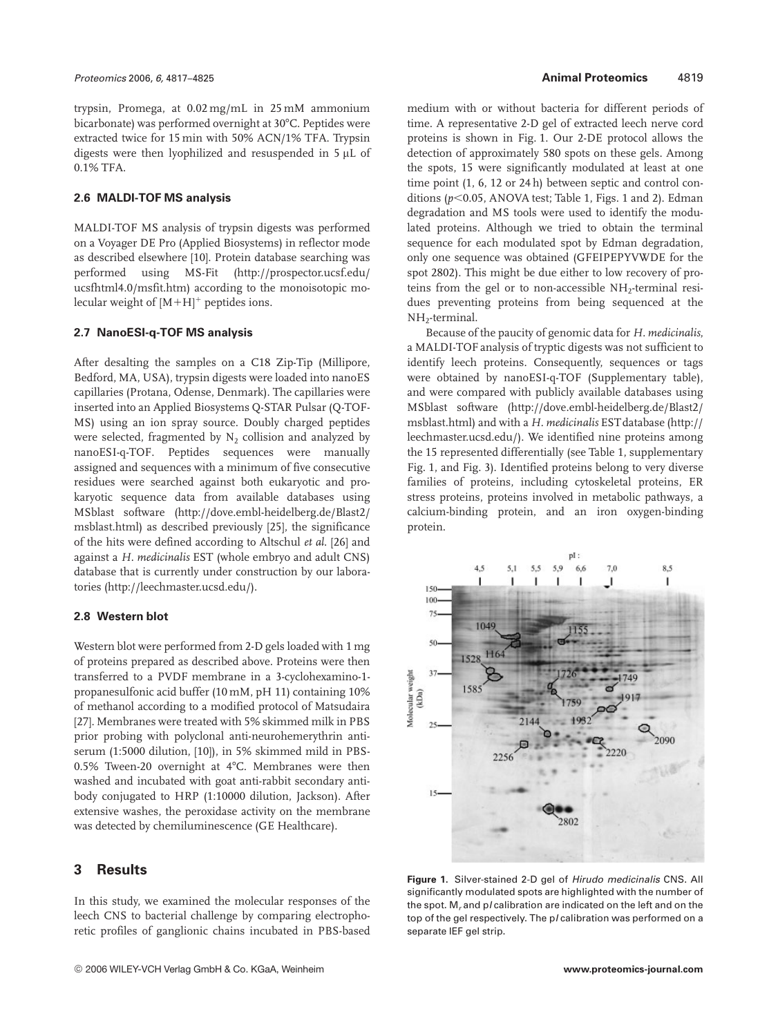trypsin, Promega, at 0.02 mg/mL in 25 mM ammonium bicarbonate) was performed overnight at 30°C. Peptides were extracted twice for 15 min with 50% ACN/1% TFA. Trypsin digests were then lyophilized and resuspended in  $5 \mu L$  of 0.1% TFA.

#### **2.6 MALDI-TOF MS analysis**

MALDI-TOF MS analysis of trypsin digests was performed on a Voyager DE Pro (Applied Biosystems) in reflector mode as described elsewhere [10]. Protein database searching was performed using MS-Fit (http://prospector.ucsf.edu/ ucsfhtml4.0/msfit.htm) according to the monoisotopic molecular weight of  $[M+H]^+$  peptides ions.

#### **2.7 NanoESI-q-TOF MS analysis**

After desalting the samples on a C18 Zip-Tip (Millipore, Bedford, MA, USA), trypsin digests were loaded into nanoES capillaries (Protana, Odense, Denmark). The capillaries were inserted into an Applied Biosystems Q-STAR Pulsar (Q-TOF-MS) using an ion spray source. Doubly charged peptides were selected, fragmented by  $N_2$  collision and analyzed by nanoESI-q-TOF. Peptides sequences were manually assigned and sequences with a minimum of five consecutive residues were searched against both eukaryotic and prokaryotic sequence data from available databases using MSblast software (http://dove.embl-heidelberg.de/Blast2/ msblast.html) as described previously [25], the significance of the hits were defined according to Altschul *et al*. [26] and against a *H. medicinalis* EST (whole embryo and adult CNS) database that is currently under construction by our laboratories (http://leechmaster.ucsd.edu/).

## **2.8 Western blot**

Western blot were performed from 2-D gels loaded with 1 mg of proteins prepared as described above. Proteins were then transferred to a PVDF membrane in a 3-cyclohexamino-1 propanesulfonic acid buffer (10 mM, pH 11) containing 10% of methanol according to a modified protocol of Matsudaira [27]. Membranes were treated with 5% skimmed milk in PBS prior probing with polyclonal anti-neurohemerythrin antiserum (1:5000 dilution, [10]), in 5% skimmed mild in PBS-0.5% Tween-20 overnight at  $4^{\circ}$ C. Membranes were then washed and incubated with goat anti-rabbit secondary antibody conjugated to HRP (1:10000 dilution, Jackson). After extensive washes, the peroxidase activity on the membrane was detected by chemiluminescence (GE Healthcare).

## **3 Results**

In this study, we examined the molecular responses of the leech CNS to bacterial challenge by comparing electrophoretic profiles of ganglionic chains incubated in PBS-based medium with or without bacteria for different periods of time. A representative 2-D gel of extracted leech nerve cord proteins is shown in Fig. 1. Our 2-DE protocol allows the detection of approximately 580 spots on these gels. Among the spots, 15 were significantly modulated at least at one time point (1, 6, 12 or 24 h) between septic and control conditions ( $p$ <0.05, ANOVA test; Table 1, Figs. 1 and 2). Edman degradation and MS tools were used to identify the modulated proteins. Although we tried to obtain the terminal sequence for each modulated spot by Edman degradation, only one sequence was obtained (GFEIPEPYVWDE for the spot 2802). This might be due either to low recovery of proteins from the gel or to non-accessible NH<sub>2</sub>-terminal residues preventing proteins from being sequenced at the NH<sub>2</sub>-terminal.

Because of the paucity of genomic data for *H. medicinalis*, a MALDI-TOF analysis of tryptic digests was not sufficient to identify leech proteins. Consequently, sequences or tags were obtained by nanoESI-q-TOF (Supplementary table), and were compared with publicly available databases using MSblast software (http://dove.embl-heidelberg.de/Blast2/ msblast.html) and with a *H. medicinalis* ESTdatabase (http:// leechmaster.ucsd.edu/). We identified nine proteins among the 15 represented differentially (see Table 1, supplementary Fig. 1, and Fig. 3). Identified proteins belong to very diverse families of proteins, including cytoskeletal proteins, ER stress proteins, proteins involved in metabolic pathways, a calcium-binding protein, and an iron oxygen-binding protein.



**Figure 1.** Silver-stained 2-D gel of Hirudo medicinalis CNS. All significantly modulated spots are highlighted with the number of the spot.  $M_r$  and p/ calibration are indicated on the left and on the top of the gel respectively. The p/calibration was performed on a separate IEF gel strip.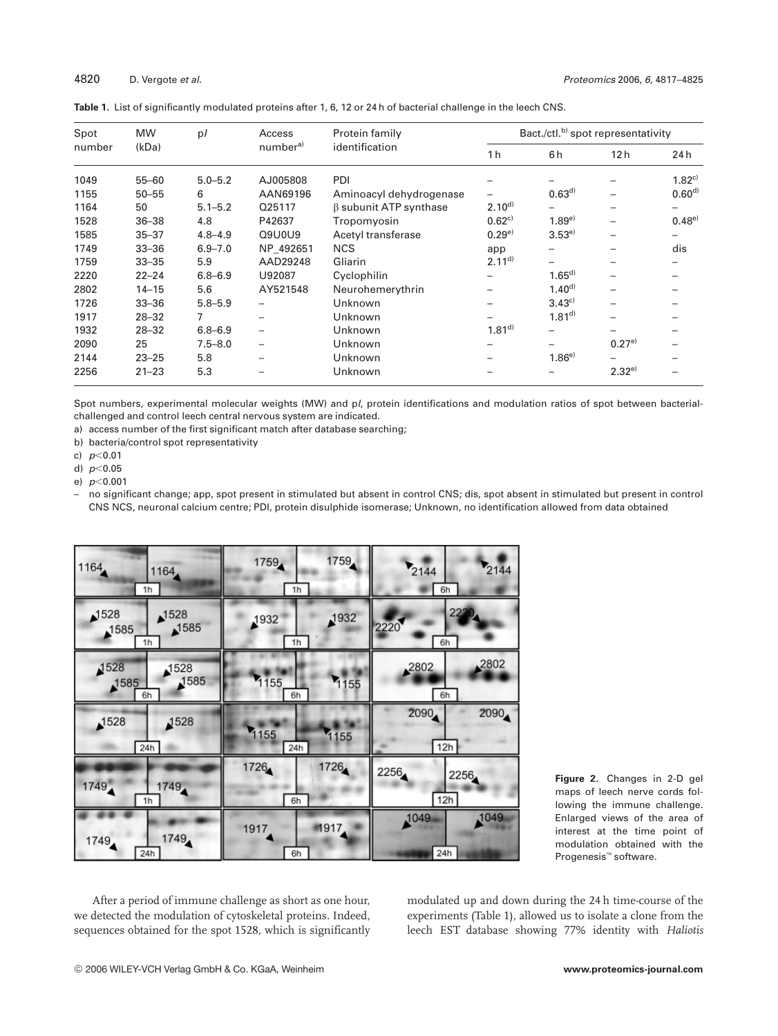| Spot<br>number | <b>MW</b><br>(kDa) | p/          | Access<br>number <sup>a)</sup> | Protein family<br>identification | Bact./ctl. <sup>b)</sup> spot representativity |            |                          |             |
|----------------|--------------------|-------------|--------------------------------|----------------------------------|------------------------------------------------|------------|--------------------------|-------------|
|                |                    |             |                                |                                  | 1 <sub>h</sub>                                 | 6h         | 12 h                     | 24 h        |
| 1049           | $55 - 60$          | $5.0 - 5.2$ | AJ005808                       | PDI                              |                                                |            |                          | $1.82^{c}$  |
| 1155           | $50 - 55$          | 6           | AAN69196                       | Aminoacyl dehydrogenase          |                                                | $0.63^{d}$ | $\overline{\phantom{0}}$ | $0.60^{d)}$ |
| 1164           | 50                 | $5.1 - 5.2$ | Q25117                         | <b>B</b> subunit ATP synthase    | $2.10^{d}$                                     |            |                          | —           |
| 1528           | $36 - 38$          | 4.8         | P42637                         | Tropomyosin                      | $0.62^{c}$                                     | $1.89^{e}$ | $\overline{\phantom{0}}$ | $0.48^{e}$  |
| 1585           | $35 - 37$          | $4.8 - 4.9$ | Q9U0U9                         | Acetyl transferase               | $0.29^{e}$                                     | $3.53^{e}$ |                          |             |
| 1749           | $33 - 36$          | $6.9 - 7.0$ | NP 492651                      | <b>NCS</b>                       | app                                            |            |                          | dis         |
| 1759           | $33 - 35$          | 5.9         | AAD29248                       | Gliarin                          | $2.11^{d}$                                     |            |                          |             |
| 2220           | $22 - 24$          | $6,8 - 6,9$ | U92087                         | Cyclophilin                      |                                                | $1.65^{d}$ |                          |             |
| 2802           | $14 - 15$          | 5.6         | AY521548                       | Neurohemerythrin                 |                                                | $1.40^{d}$ | $\overline{\phantom{0}}$ |             |
| 1726           | $33 - 36$          | $5.8 - 5.9$ | -                              | Unknown                          |                                                | 3.43c      | $\overline{\phantom{0}}$ |             |
| 1917           | $28 - 32$          | 7           | -                              | Unknown                          |                                                | $1.81^{d}$ |                          |             |
| 1932           | $28 - 32$          | $6.8 - 6.9$ | $\overline{\phantom{0}}$       | Unknown                          | $1.81^{d}$                                     |            |                          |             |
| 2090           | 25                 | $7.5 - 8.0$ | -                              | Unknown                          |                                                |            | $0.27^{e}$               |             |
| 2144           | $23 - 25$          | 5.8         | -                              | Unknown                          |                                                | $1.86^{e}$ |                          |             |
| 2256           | $21 - 23$          | 5.3         |                                | Unknown                          |                                                |            | $2.32^{e}$               |             |

**Table 1.** List of significantly modulated proteins after 1, 6, 12 or 24 h of bacterial challenge in the leech CNS.

Spot numbers, experimental molecular weights (MW) and pI, protein identifications and modulation ratios of spot between bacterialchallenged and control leech central nervous system are indicated.

a) access number of the first significant match after database searching;

b) bacteria/control spot representativity

c)  $p<0.01$ 

d)  $p<0.05$ 

e)  $p<0.001$ 

– no significant change; app, spot present in stimulated but absent in control CNS; dis, spot absent in stimulated but present in control CNS NCS, neuronal calcium centre; PDI, protein disulphide isomerase; Unknown, no identification allowed from data obtained

| 1164                               | 1759               | 2144                |
|------------------------------------|--------------------|---------------------|
| 1164                               | 1759               | 2144                |
| 1h                                 | 1h                 | 6h                  |
| 1528<br>1528<br>1585<br>1585<br>1h | 1932<br>1932<br>1h | 2220<br>2220<br>6h  |
| 1528<br>1528<br>1585<br>1585<br>6h | 1155<br>1155<br>6h | ,2802<br>2802<br>6h |
| 1528                               | 1155               | 2090                |
| 1528                               | 1155               | 2090                |
| 24h                                | 24h                | 12h                 |
| 1749                               | 1726               | 2256                |
| 1749                               | 1726               | 2256                |
| 1h                                 | 6h                 | 12h                 |
| 1749                               | 1917               | 1049                |
| 1749                               | 1917               | 1049                |
| 24h                                | 6h                 | 24h                 |

**Figure 2.** Changes in 2-D gel maps of leech nerve cords following the immune challenge. Enlarged views of the area of interest at the time point of modulation obtained with the Progenesis™ software.

After a period of immune challenge as short as one hour, we detected the modulation of cytoskeletal proteins. Indeed, sequences obtained for the spot 1528, which is significantly modulated up and down during the 24 h time-course of the experiments (Table 1), allowed us to isolate a clone from the leech EST database showing 77% identity with *Haliotis*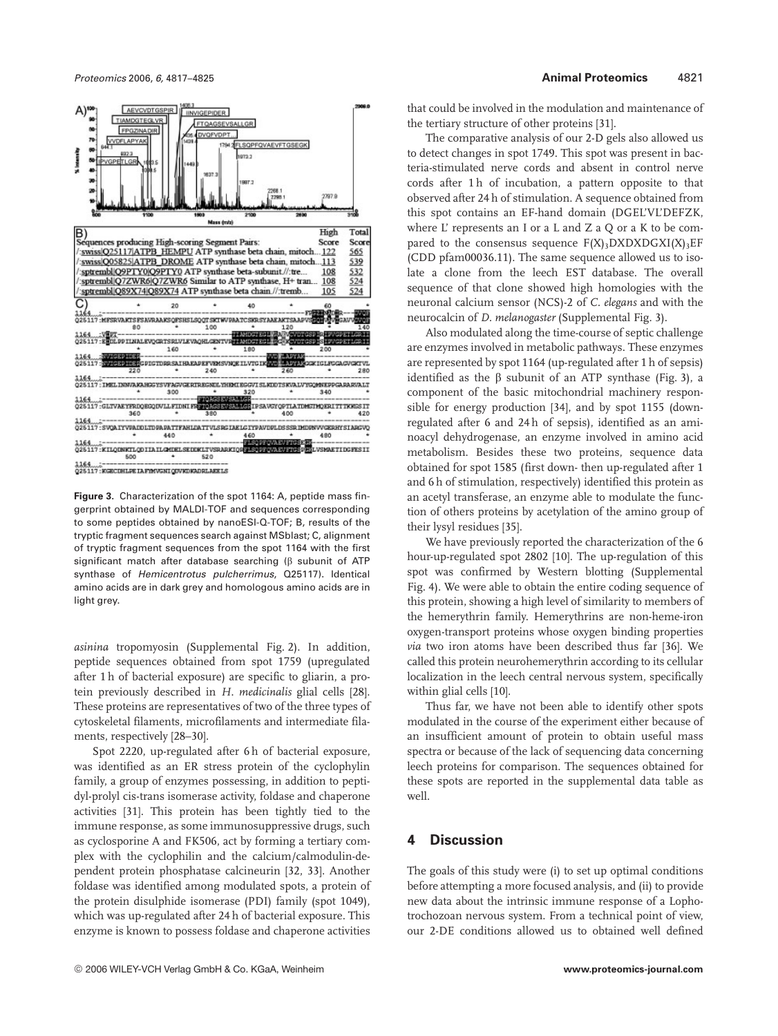

**Figure 3.** Characterization of the spot 1164: A, peptide mass fingerprint obtained by MALDI-TOF and sequences corresponding to some peptides obtained by nanoESI-Q-TOF; B, results of the tryptic fragment sequences search against MSblast; C, alignment of tryptic fragment sequences from the spot 1164 with the first significant match after database searching ( $\beta$  subunit of ATP synthase of Hemicentrotus pulcherrimus, Q25117). Identical amino acids are in dark grey and homologous amino acids are in light grey.

*asinina* tropomyosin (Supplemental Fig. 2). In addition, peptide sequences obtained from spot 1759 (upregulated after 1 h of bacterial exposure) are specific to gliarin, a protein previously described in *H. medicinalis* glial cells [28]. These proteins are representatives of two of the three types of cytoskeletal filaments, microfilaments and intermediate filaments, respectively [28–30].

Spot 2220, up-regulated after 6 h of bacterial exposure, was identified as an ER stress protein of the cyclophylin family, a group of enzymes possessing, in addition to peptidyl-prolyl cis-trans isomerase activity, foldase and chaperone activities [31]. This protein has been tightly tied to the immune response, as some immunosuppressive drugs, such as cyclosporine A and FK506, act by forming a tertiary complex with the cyclophilin and the calcium/calmodulin-dependent protein phosphatase calcineurin [32, 33]. Another foldase was identified among modulated spots, a protein of the protein disulphide isomerase (PDI) family (spot 1049), which was up-regulated after 24 h of bacterial exposure. This enzyme is known to possess foldase and chaperone activities

that could be involved in the modulation and maintenance of the tertiary structure of other proteins [31].

The comparative analysis of our 2-D gels also allowed us to detect changes in spot 1749. This spot was present in bacteria-stimulated nerve cords and absent in control nerve cords after 1 h of incubation, a pattern opposite to that observed after 24 h of stimulation. A sequence obtained from this spot contains an EF-hand domain (DGEL'VL'DEFZK, where L' represents an I or a L and Z a Q or a K to be compared to the consensus sequence  $F(X)$ <sub>3</sub>DXDXDGXI(X)<sub>3</sub>EF (CDD pfam00036.11). The same sequence allowed us to isolate a clone from the leech EST database. The overall sequence of that clone showed high homologies with the neuronal calcium sensor (NCS)-2 of *C. elegans* and with the neurocalcin of *D. melanogaster* (Supplemental Fig. 3).

Also modulated along the time-course of septic challenge are enzymes involved in metabolic pathways. These enzymes are represented by spot 1164 (up-regulated after 1 h of sepsis) identified as the  $\beta$  subunit of an ATP synthase (Fig. 3), a component of the basic mitochondrial machinery responsible for energy production [34], and by spot 1155 (downregulated after 6 and 24 h of sepsis), identified as an aminoacyl dehydrogenase, an enzyme involved in amino acid metabolism. Besides these two proteins, sequence data obtained for spot 1585 (first down- then up-regulated after 1 and 6 h of stimulation, respectively) identified this protein as an acetyl transferase, an enzyme able to modulate the function of others proteins by acetylation of the amino group of their lysyl residues [35].

We have previously reported the characterization of the 6 hour-up-regulated spot 2802 [10]. The up-regulation of this spot was confirmed by Western blotting (Supplemental Fig. 4). We were able to obtain the entire coding sequence of this protein, showing a high level of similarity to members of the hemerythrin family. Hemerythrins are non-heme-iron oxygen-transport proteins whose oxygen binding properties *via* two iron atoms have been described thus far [36]. We called this protein neurohemerythrin according to its cellular localization in the leech central nervous system, specifically within glial cells [10].

Thus far, we have not been able to identify other spots modulated in the course of the experiment either because of an insufficient amount of protein to obtain useful mass spectra or because of the lack of sequencing data concerning leech proteins for comparison. The sequences obtained for these spots are reported in the supplemental data table as well.

## **4 Discussion**

The goals of this study were (i) to set up optimal conditions before attempting a more focused analysis, and (ii) to provide new data about the intrinsic immune response of a Lophotrochozoan nervous system. From a technical point of view, our 2-DE conditions allowed us to obtained well defined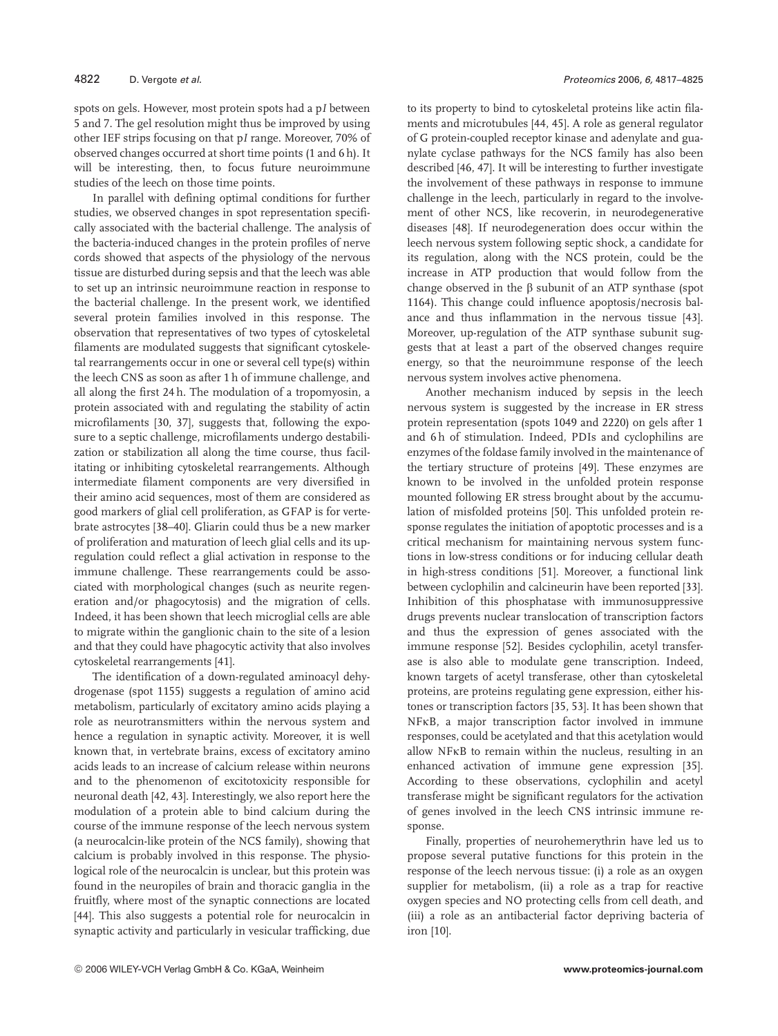spots on gels. However, most protein spots had a p*I* between 5 and 7. The gel resolution might thus be improved by using other IEF strips focusing on that p*I* range. Moreover, 70% of observed changes occurred at short time points (1 and 6 h). It will be interesting, then, to focus future neuroimmune studies of the leech on those time points.

In parallel with defining optimal conditions for further studies, we observed changes in spot representation specifically associated with the bacterial challenge. The analysis of the bacteria-induced changes in the protein profiles of nerve cords showed that aspects of the physiology of the nervous tissue are disturbed during sepsis and that the leech was able to set up an intrinsic neuroimmune reaction in response to the bacterial challenge. In the present work, we identified several protein families involved in this response. The observation that representatives of two types of cytoskeletal filaments are modulated suggests that significant cytoskeletal rearrangements occur in one or several cell type(s) within the leech CNS as soon as after 1 h of immune challenge, and all along the first 24 h. The modulation of a tropomyosin, a protein associated with and regulating the stability of actin microfilaments [30, 37], suggests that, following the exposure to a septic challenge, microfilaments undergo destabilization or stabilization all along the time course, thus facilitating or inhibiting cytoskeletal rearrangements. Although intermediate filament components are very diversified in their amino acid sequences, most of them are considered as good markers of glial cell proliferation, as GFAP is for vertebrate astrocytes [38–40]. Gliarin could thus be a new marker of proliferation and maturation of leech glial cells and its upregulation could reflect a glial activation in response to the immune challenge. These rearrangements could be associated with morphological changes (such as neurite regeneration and/or phagocytosis) and the migration of cells. Indeed, it has been shown that leech microglial cells are able to migrate within the ganglionic chain to the site of a lesion and that they could have phagocytic activity that also involves cytoskeletal rearrangements [41].

The identification of a down-regulated aminoacyl dehydrogenase (spot 1155) suggests a regulation of amino acid metabolism, particularly of excitatory amino acids playing a role as neurotransmitters within the nervous system and hence a regulation in synaptic activity. Moreover, it is well known that, in vertebrate brains, excess of excitatory amino acids leads to an increase of calcium release within neurons and to the phenomenon of excitotoxicity responsible for neuronal death [42, 43]. Interestingly, we also report here the modulation of a protein able to bind calcium during the course of the immune response of the leech nervous system (a neurocalcin-like protein of the NCS family), showing that calcium is probably involved in this response. The physiological role of the neurocalcin is unclear, but this protein was found in the neuropiles of brain and thoracic ganglia in the fruitfly, where most of the synaptic connections are located [44]. This also suggests a potential role for neurocalcin in synaptic activity and particularly in vesicular trafficking, due to its property to bind to cytoskeletal proteins like actin filaments and microtubules [44, 45]. A role as general regulator of G protein-coupled receptor kinase and adenylate and guanylate cyclase pathways for the NCS family has also been described [46, 47]. It will be interesting to further investigate the involvement of these pathways in response to immune challenge in the leech, particularly in regard to the involvement of other NCS, like recoverin, in neurodegenerative diseases [48]. If neurodegeneration does occur within the leech nervous system following septic shock, a candidate for its regulation, along with the NCS protein, could be the increase in ATP production that would follow from the change observed in the  $\beta$  subunit of an ATP synthase (spot 1164). This change could influence apoptosis/necrosis balance and thus inflammation in the nervous tissue [43]. Moreover, up-regulation of the ATP synthase subunit suggests that at least a part of the observed changes require energy, so that the neuroimmune response of the leech nervous system involves active phenomena.

Another mechanism induced by sepsis in the leech nervous system is suggested by the increase in ER stress protein representation (spots 1049 and 2220) on gels after 1 and 6h of stimulation. Indeed, PDIs and cyclophilins are enzymes of the foldase family involved in the maintenance of the tertiary structure of proteins [49]. These enzymes are known to be involved in the unfolded protein response mounted following ER stress brought about by the accumulation of misfolded proteins [50]. This unfolded protein response regulates the initiation of apoptotic processes and is a critical mechanism for maintaining nervous system functions in low-stress conditions or for inducing cellular death in high-stress conditions [51]. Moreover, a functional link between cyclophilin and calcineurin have been reported [33]. Inhibition of this phosphatase with immunosuppressive drugs prevents nuclear translocation of transcription factors and thus the expression of genes associated with the immune response [52]. Besides cyclophilin, acetyl transferase is also able to modulate gene transcription. Indeed, known targets of acetyl transferase, other than cytoskeletal proteins, are proteins regulating gene expression, either histones or transcription factors [35, 53]. It has been shown that NFkB, a major transcription factor involved in immune responses, could be acetylated and that this acetylation would allow NFkB to remain within the nucleus, resulting in an enhanced activation of immune gene expression [35]. According to these observations, cyclophilin and acetyl transferase might be significant regulators for the activation of genes involved in the leech CNS intrinsic immune response.

Finally, properties of neurohemerythrin have led us to propose several putative functions for this protein in the response of the leech nervous tissue: (i) a role as an oxygen supplier for metabolism, (ii) a role as a trap for reactive oxygen species and NO protecting cells from cell death, and (iii) a role as an antibacterial factor depriving bacteria of iron [10].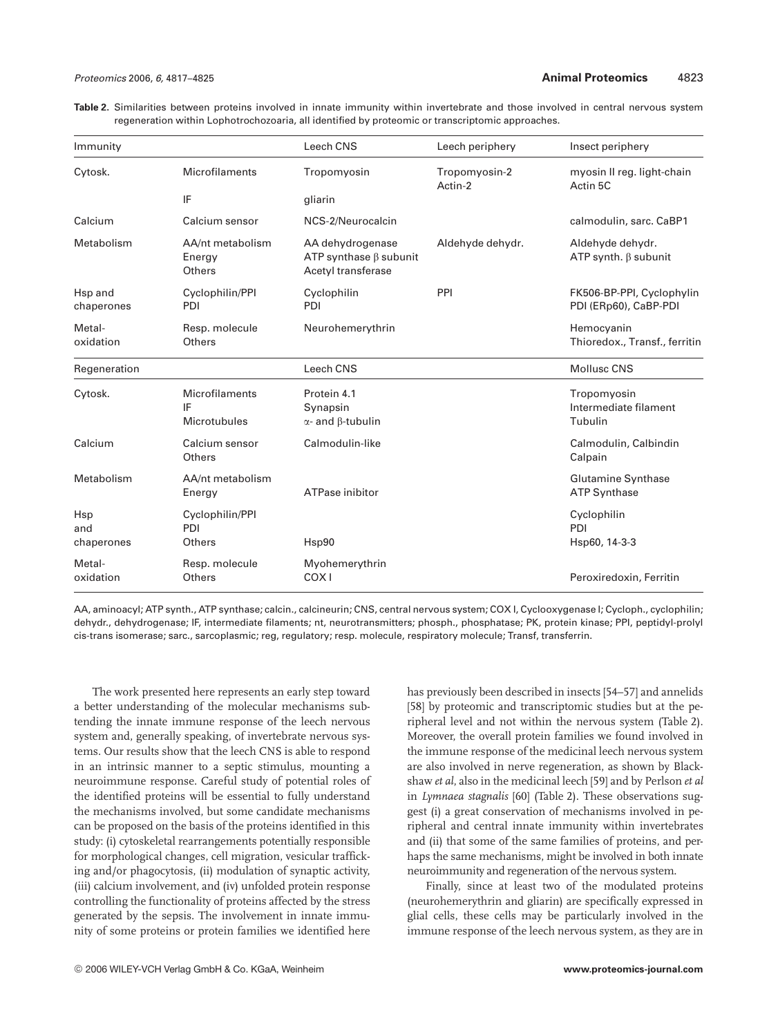**Table 2.** Similarities between proteins involved in innate immunity within invertebrate and those involved in central nervous system regeneration within Lophotrochozoaria, all identified by proteomic or transcriptomic approaches.

| Immunity                 |                                      | Leech CNS                                                              | Leech periphery          | Insect periphery                                   |
|--------------------------|--------------------------------------|------------------------------------------------------------------------|--------------------------|----------------------------------------------------|
| Cytosk.                  | Microfilaments                       | Tropomyosin                                                            | Tropomyosin-2<br>Actin-2 | myosin II reg. light-chain<br>Actin 5C             |
|                          | IF                                   | gliarin                                                                |                          |                                                    |
| Calcium                  | Calcium sensor                       | NCS-2/Neurocalcin                                                      |                          | calmodulin, sarc. CaBP1                            |
| Metabolism               | AA/nt metabolism<br>Energy<br>Others | AA dehydrogenase<br>ATP synthase $\beta$ subunit<br>Acetyl transferase | Aldehyde dehydr.         | Aldehyde dehydr.<br>ATP synth. $\beta$ subunit     |
| Hsp and<br>chaperones    | Cyclophilin/PPI<br>PDI               | Cyclophilin<br>PDI                                                     | PPI                      | FK506-BP-PPI, Cyclophylin<br>PDI (ERp60), CaBP-PDI |
| Metal-<br>oxidation      | Resp. molecule<br>Others             | Neurohemerythrin                                                       |                          | Hemocyanin<br>Thioredox., Transf., ferritin        |
| Regeneration             |                                      | Leech CNS                                                              |                          | <b>Mollusc CNS</b>                                 |
| Cytosk.                  | Microfilaments<br>IF<br>Microtubules | Protein 4.1<br>Synapsin<br>$\alpha$ - and $\beta$ -tubulin             |                          | Tropomyosin<br>Intermediate filament<br>Tubulin    |
| Calcium                  | Calcium sensor<br>Others             | Calmodulin-like                                                        |                          | Calmodulin, Calbindin<br>Calpain                   |
| Metabolism               | AA/nt metabolism<br>Energy           | ATPase inibitor                                                        |                          | <b>Glutamine Synthase</b><br><b>ATP Synthase</b>   |
| Hsp<br>and<br>chaperones | Cyclophilin/PPI<br>PDI<br>Others     | Hsp90                                                                  |                          | Cyclophilin<br>PDI<br>Hsp60, 14-3-3                |
| Metal-<br>oxidation      | Resp. molecule<br>Others             | Myohemerythrin<br>COX <sub>1</sub>                                     |                          | Peroxiredoxin, Ferritin                            |

AA, aminoacyl; ATP synth., ATP synthase; calcin., calcineurin; CNS, central nervous system; COX I, Cyclooxygenase I; Cycloph., cyclophilin; dehydr., dehydrogenase; IF, intermediate filaments; nt, neurotransmitters; phosph., phosphatase; PK, protein kinase; PPI, peptidyl-prolyl cis-trans isomerase; sarc., sarcoplasmic; reg, regulatory; resp. molecule, respiratory molecule; Transf, transferrin.

The work presented here represents an early step toward a better understanding of the molecular mechanisms subtending the innate immune response of the leech nervous system and, generally speaking, of invertebrate nervous systems. Our results show that the leech CNS is able to respond in an intrinsic manner to a septic stimulus, mounting a neuroimmune response. Careful study of potential roles of the identified proteins will be essential to fully understand the mechanisms involved, but some candidate mechanisms can be proposed on the basis of the proteins identified in this study: (i) cytoskeletal rearrangements potentially responsible for morphological changes, cell migration, vesicular trafficking and/or phagocytosis, (ii) modulation of synaptic activity, (iii) calcium involvement, and (iv) unfolded protein response controlling the functionality of proteins affected by the stress generated by the sepsis. The involvement in innate immunity of some proteins or protein families we identified here

has previously been described in insects [54–57] and annelids [58] by proteomic and transcriptomic studies but at the peripheral level and not within the nervous system (Table 2). Moreover, the overall protein families we found involved in the immune response of the medicinal leech nervous system are also involved in nerve regeneration, as shown by Blackshaw *et al*, also in the medicinal leech [59] and by Perlson *et al* in *Lymnaea stagnalis* [60] (Table 2). These observations suggest (i) a great conservation of mechanisms involved in peripheral and central innate immunity within invertebrates and (ii) that some of the same families of proteins, and perhaps the same mechanisms, might be involved in both innate neuroimmunity and regeneration of the nervous system.

Finally, since at least two of the modulated proteins (neurohemerythrin and gliarin) are specifically expressed in glial cells, these cells may be particularly involved in the immune response of the leech nervous system, as they are in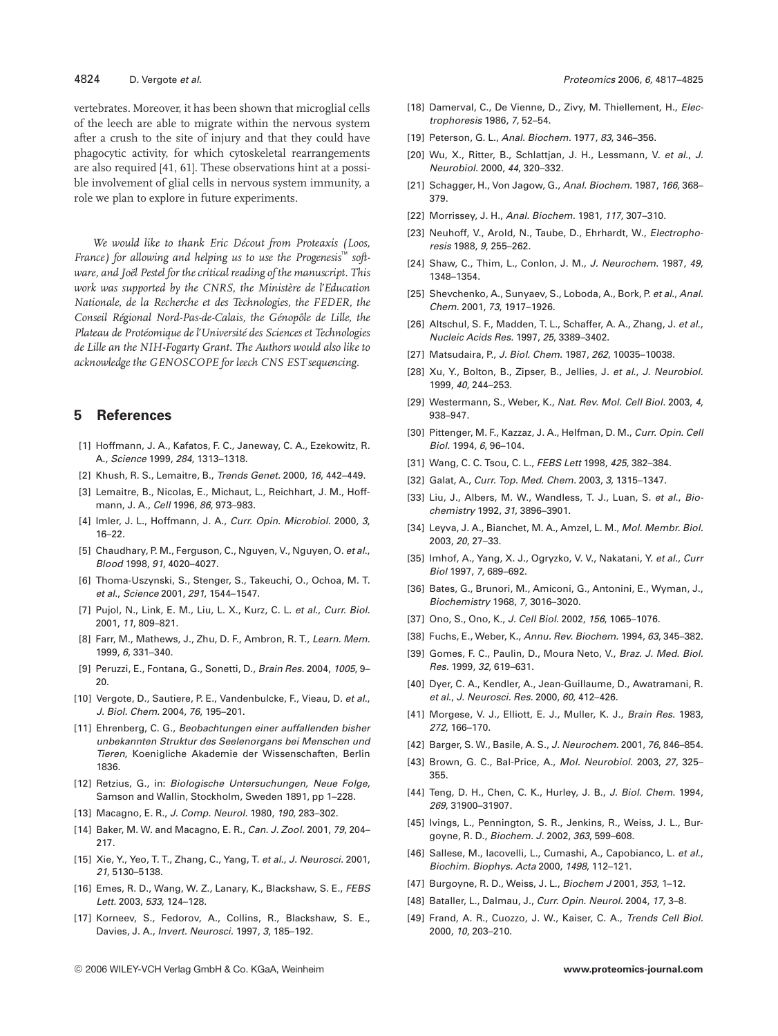vertebrates. Moreover, it has been shown that microglial cells of the leech are able to migrate within the nervous system after a crush to the site of injury and that they could have phagocytic activity, for which cytoskeletal rearrangements are also required [41, 61]. These observations hint at a possible involvement of glial cells in nervous system immunity, a role we plan to explore in future experiments.

*We would like to thank Eric Décout from Proteaxis (Loos, France*) for allowing and helping us to use the Progenesis™ soft*ware, and Joël Pestel for the critical reading of the manuscript. This work was supported by the CNRS, the Ministère de l'Education Nationale, de la Recherche et des Technologies, the FEDER, the Conseil Régional Nord-Pas-de-Calais, the Génopôle de Lille, the Plateau de Protéomique de l'Université des Sciences et Technologies de Lille an the NIH-Fogarty Grant. The Authors would also like to acknowledge the GENOSCOPE for leech CNS EST sequencing.*

## **5 References**

- [1] Hoffmann, J. A., Kafatos, F. C., Janeway, C. A., Ezekowitz, R. A., Science 1999, 284, 1313–1318.
- [2] Khush, R. S., Lemaitre, B., Trends Genet. 2000, 16, 442–449.
- [3] Lemaitre, B., Nicolas, E., Michaut, L., Reichhart, J. M., Hoffmann, J. A., Cell 1996, 86, 973–983.
- [4] Imler, J. L., Hoffmann, J. A., Curr. Opin. Microbiol. 2000, 3, 16–22.
- [5] Chaudhary, P. M., Ferguson, C., Nguyen, V., Nguyen, O. et al., Blood 1998, 91, 4020–4027.
- [6] Thoma-Uszynski, S., Stenger, S., Takeuchi, O., Ochoa, M. T. et al., Science 2001, 291, 1544–1547.
- [7] Pujol, N., Link, E. M., Liu, L. X., Kurz, C. L. et al., Curr. Biol. 2001, 11, 809–821.
- [8] Farr, M., Mathews, J., Zhu, D. F., Ambron, R. T., Learn. Mem. 1999, 6, 331–340.
- [9] Peruzzi, E., Fontana, G., Sonetti, D., Brain Res. 2004, 1005, 9–  $20$
- [10] Vergote, D., Sautiere, P. E., Vandenbulcke, F., Vieau, D. et al., J. Biol. Chem. 2004, 76, 195–201.
- [11] Ehrenberg, C. G., Beobachtungen einer auffallenden bisher unbekannten Struktur des Seelenorgans bei Menschen und Tieren, Koenigliche Akademie der Wissenschaften, Berlin 1836.
- [12] Retzius, G., in: Biologische Untersuchungen, Neue Folge, Samson and Wallin, Stockholm, Sweden 1891, pp 1–228.
- [13] Macagno, E. R., J. Comp. Neurol. 1980, 190, 283–302.
- [14] Baker, M. W. and Macagno, E. R., Can. J. Zool. 2001, 79, 204– 217.
- [15] Xie, Y., Yeo, T. T., Zhang, C., Yang, T. et al., J. Neurosci. 2001, 21, 5130–5138.
- [16] Emes, R. D., Wang, W. Z., Lanary, K., Blackshaw, S. E., FEBS Lett. 2003, 533, 124–128.
- [17] Korneev, S., Fedorov, A., Collins, R., Blackshaw, S. E., Davies, J. A., Invert. Neurosci. 1997, 3, 185–192.
- [18] Damerval, C., De Vienne, D., Zivy, M. Thiellement, H., Electrophoresis 1986, 7, 52–54.
- [19] Peterson, G. L., Anal. Biochem. 1977, 83, 346-356.
- [20] Wu, X., Ritter, B., Schlattjan, J. H., Lessmann, V. et al., J. Neurobiol. 2000, 44, 320–332.
- [21] Schagger, H., Von Jagow, G., Anal. Biochem. 1987, 166, 368-379.
- [22] Morrissey, J. H., Anal. Biochem. 1981, 117, 307–310.
- [23] Neuhoff, V., Arold, N., Taube, D., Ehrhardt, W., Electrophoresis 1988, 9, 255–262.
- [24] Shaw, C., Thim, L., Conlon, J. M., J. Neurochem. 1987, 49, 1348–1354.
- [25] Shevchenko, A., Sunyaev, S., Loboda, A., Bork, P. et al., Anal. Chem. 2001, 73, 1917–1926.
- [26] Altschul, S. F., Madden, T. L., Schaffer, A. A., Zhang, J. et al., Nucleic Acids Res. 1997, 25, 3389–3402.
- [27] Matsudaira, P., J. Biol. Chem. 1987, 262, 10035–10038.
- [28] Xu, Y., Bolton, B., Zipser, B., Jellies, J. et al., J. Neurobiol. 1999, 40, 244–253.
- [29] Westermann, S., Weber, K., Nat. Rev. Mol. Cell Biol. 2003, 4, 938–947.
- [30] Pittenger, M. F., Kazzaz, J. A., Helfman, D. M., Curr. Opin. Cell Biol. 1994, 6, 96–104.
- [31] Wang, C. C. Tsou, C. L., FEBS Lett 1998, 425, 382-384.
- [32] Galat, A., Curr. Top. Med. Chem. 2003, 3, 1315–1347.
- [33] Liu, J., Albers, M. W., Wandless, T. J., Luan, S. et al., Biochemistry 1992, 31, 3896–3901.
- [34] Leyva, J. A., Bianchet, M. A., Amzel, L. M., Mol. Membr. Biol. 2003, 20, 27–33.
- [35] Imhof, A., Yang, X. J., Ogryzko, V. V., Nakatani, Y. et al., Curr Biol 1997, 7, 689–692.
- [36] Bates, G., Brunori, M., Amiconi, G., Antonini, E., Wyman, J., Biochemistry 1968, 7, 3016–3020.
- [37] Ono, S., Ono, K., J. Cell Biol. 2002, 156, 1065–1076.
- [38] Fuchs, E., Weber, K., Annu. Rev. Biochem. 1994, 63, 345–382.
- [39] Gomes, F. C., Paulin, D., Moura Neto, V., Braz. J. Med. Biol. Res. 1999, 32, 619–631.
- [40] Dyer, C. A., Kendler, A., Jean-Guillaume, D., Awatramani, R. et al., J. Neurosci. Res. 2000, 60, 412–426.
- [41] Morgese, V. J., Elliott, E. J., Muller, K. J., Brain Res. 1983, 272, 166–170.
- [42] Barger, S. W., Basile, A. S., J. Neurochem. 2001, 76, 846–854.
- [43] Brown, G. C., Bal-Price, A., Mol. Neurobiol. 2003, 27, 325– 355.
- [44] Teng, D. H., Chen, C. K., Hurley, J. B., J. Biol. Chem. 1994, 269, 31900–31907.
- [45] Ivings, L., Pennington, S. R., Jenkins, R., Weiss, J. L., Burgoyne, R. D., Biochem. J. 2002, 363, 599–608.
- [46] Sallese, M., lacovelli, L., Cumashi, A., Capobianco, L. et al., Biochim. Biophys. Acta 2000, 1498, 112–121.
- [47] Burgoyne, R. D., Weiss, J. L., Biochem J 2001, 353, 1–12.
- [48] Bataller, L., Dalmau, J., Curr. Opin. Neurol. 2004, 17, 3–8.
- [49] Frand, A. R., Cuozzo, J. W., Kaiser, C. A., Trends Cell Biol. 2000, 10, 203–210.